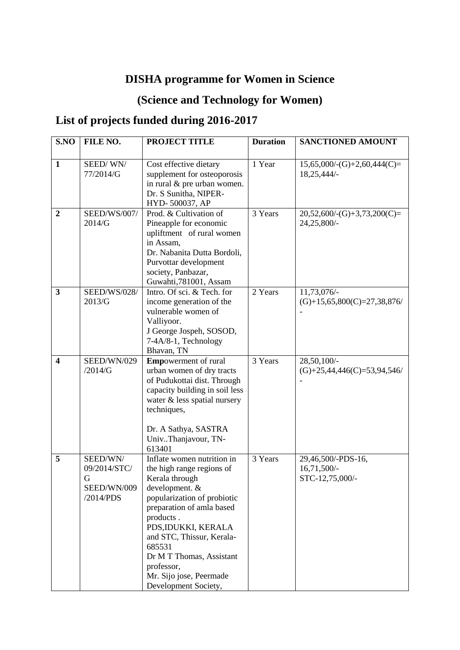## **DISHA programme for Women in Science**

## **(Science and Technology for Women)**

## **List of projects funded during 2016-2017**

| S.NO                    | FILE NO.                                                  | <b>PROJECT TITLE</b>                                                                                                                                                                                                                                                                                                            | <b>Duration</b> | <b>SANCTIONED AMOUNT</b>                             |
|-------------------------|-----------------------------------------------------------|---------------------------------------------------------------------------------------------------------------------------------------------------------------------------------------------------------------------------------------------------------------------------------------------------------------------------------|-----------------|------------------------------------------------------|
|                         |                                                           |                                                                                                                                                                                                                                                                                                                                 |                 |                                                      |
| $\mathbf{1}$            | SEED/WN/<br>77/2014/G                                     | Cost effective dietary<br>supplement for osteoporosis<br>in rural & pre urban women.<br>Dr. S Sunitha, NIPER-<br>HYD-500037, AP                                                                                                                                                                                                 | 1 Year          | $15,65,000/-(G)+2,60,444(C)=$<br>18,25,444/-         |
| $\boldsymbol{2}$        | SEED/WS/007/<br>2014/G                                    | Prod. & Cultivation of<br>Pineapple for economic<br>upliftment of rural women<br>in Assam,<br>Dr. Nabanita Dutta Bordoli,<br>Purvottar development<br>society, Panbazar,<br>Guwahti, 781001, Assam                                                                                                                              | 3 Years         | $20,52,600$ /-(G)+3,73,200(C)=<br>24,25,800/-        |
| $\overline{\mathbf{3}}$ | <b>SEED/WS/028/</b><br>2013/G                             | Intro. Of sci. & Tech. for<br>income generation of the<br>vulnerable women of<br>Valliyoor.<br>J George Jospeh, SOSOD,<br>7-4A/8-1, Technology<br>Bhavan, TN                                                                                                                                                                    | 2 Years         | 11,73,076/-<br>$(G)+15,65,800(C)=27,38,876$          |
| $\overline{\mathbf{4}}$ | SEED/WN/029<br>/2014/G                                    | <b>Emp</b> owerment of rural<br>urban women of dry tracts<br>of Pudukottai dist. Through<br>capacity building in soil less<br>water & less spatial nursery<br>techniques,<br>Dr. A Sathya, SASTRA<br>UnivThanjavour, TN-<br>613401                                                                                              | 3 Years         | 28,50,100/-<br>$(G)+25,44,446(C)=53,94,546$          |
| 5                       | SEED/WN/<br>09/2014/STC/<br>G<br>SEED/WN/009<br>/2014/PDS | Inflate women nutrition in<br>the high range regions of<br>Kerala through<br>development. &<br>popularization of probiotic<br>preparation of amla based<br>products.<br>PDS, IDUKKI, KERALA<br>and STC, Thissur, Kerala-<br>685531<br>Dr M T Thomas, Assistant<br>professor,<br>Mr. Sijo jose, Peermade<br>Development Society, | 3 Years         | 29,46,500/-PDS-16,<br>16,71,500/-<br>STC-12,75,000/- |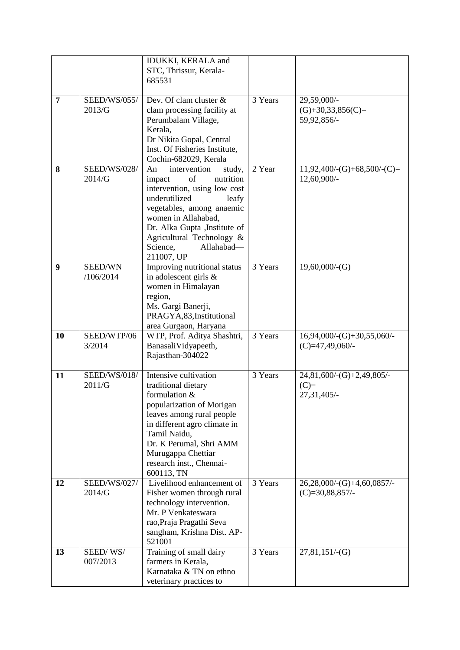|                |                               | <b>IDUKKI, KERALA and</b><br>STC, Thrissur, Kerala-                                                                                                                                                                                                                           |         |                                                    |
|----------------|-------------------------------|-------------------------------------------------------------------------------------------------------------------------------------------------------------------------------------------------------------------------------------------------------------------------------|---------|----------------------------------------------------|
|                |                               | 685531                                                                                                                                                                                                                                                                        |         |                                                    |
|                |                               |                                                                                                                                                                                                                                                                               |         |                                                    |
| $\overline{7}$ | <b>SEED/WS/055/</b><br>2013/G | Dev. Of clam cluster &<br>clam processing facility at<br>Perumbalam Village,<br>Kerala,<br>Dr Nikita Gopal, Central<br>Inst. Of Fisheries Institute,<br>Cochin-682029, Kerala                                                                                                 | 3 Years | 29,59,000/-<br>$(G)+30,33,856(C)=$<br>59,92,856/-  |
| 8              | <b>SEED/WS/028/</b><br>2014/G | An<br>intervention<br>study,<br>of<br>nutrition<br>impact<br>intervention, using low cost<br>underutilized<br>leafy<br>vegetables, among anaemic<br>women in Allahabad,<br>Dr. Alka Gupta , Institute of<br>Agricultural Technology &<br>Science,<br>Allahabad-<br>211007, UP | 2 Year  | $11,92,400$ /-(G)+68,500/-(C)=<br>12,60,900/-      |
| 9              | SEED/WN<br>/106/2014          | Improving nutritional status<br>in adolescent girls &<br>women in Himalayan<br>region,<br>Ms. Gargi Banerji,<br>PRAGYA, 83, Institutional<br>area Gurgaon, Haryana                                                                                                            | 3 Years | $19,60,000/-(G)$                                   |
| 10             | SEED/WTP/06<br>3/2014         | WTP, Prof. Aditya Shashtri,<br>BanasaliVidyapeeth,<br>Rajasthan-304022                                                                                                                                                                                                        | 3 Years | $16,94,000$ /-(G)+30,55,060/-<br>$(C)=47,49,060/$  |
| 11             | <b>SEED/WS/018/</b><br>2011/G | Intensive cultivation<br>traditional dietary<br>formulation &<br>popularization of Morigan<br>leaves among rural people<br>in different agro climate in<br>Tamil Naidu,<br>Dr. K Perumal, Shri AMM<br>Murugappa Chettiar<br>research inst., Chennai-<br>600113, TN            | 3 Years | 24,81,600/-(G)+2,49,805/-<br>$(C)=$<br>27,31,405/- |
| 12             | <b>SEED/WS/027/</b><br>2014/G | Livelihood enhancement of<br>Fisher women through rural<br>technology intervention.<br>Mr. P Venkateswara<br>rao, Praja Pragathi Seva<br>sangham, Krishna Dist. AP-<br>521001                                                                                                 | 3 Years | 26,28,000/-(G)+4,60,0857/-<br>$(C)=30,88,857/$     |
| 13             | SEED/WS/<br>007/2013          | Training of small dairy<br>farmers in Kerala,<br>Karnataka & TN on ethno<br>veterinary practices to                                                                                                                                                                           | 3 Years | $27,81,151/-(G)$                                   |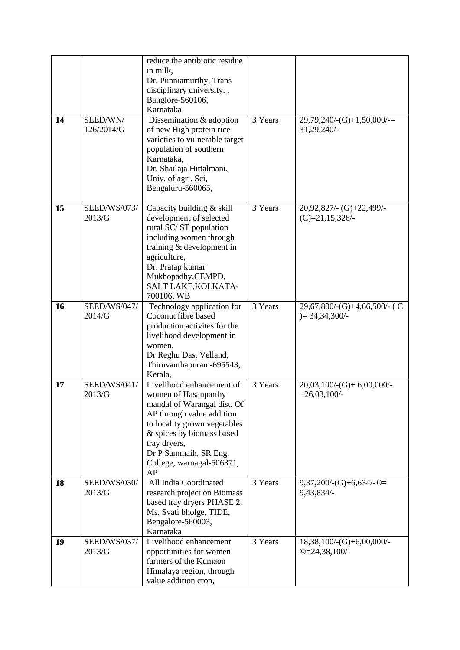|    |                               | reduce the antibiotic residue<br>in milk,<br>Dr. Punniamurthy, Trans<br>disciplinary university.,<br>Banglore-560106,<br>Karnataka                                                                                                                     |         |                                                    |
|----|-------------------------------|--------------------------------------------------------------------------------------------------------------------------------------------------------------------------------------------------------------------------------------------------------|---------|----------------------------------------------------|
| 14 | SEED/WN/<br>126/2014/G        | Dissemination & adoption<br>of new High protein rice<br>varieties to vulnerable target<br>population of southern<br>Karnataka,<br>Dr. Shailaja Hittalmani,<br>Univ. of agri. Sci,<br>Bengaluru-560065,                                                 | 3 Years | $29,79,240$ /-(G)+1,50,000/-=<br>31,29,240/-       |
| 15 | <b>SEED/WS/073/</b><br>2013/G | Capacity building & skill<br>development of selected<br>rural SC/ST population<br>including women through<br>training & development in<br>agriculture,<br>Dr. Pratap kumar<br>Mukhopadhy, CEMPD,<br>SALT LAKE, KOLKATA-<br>700106, WB                  | 3 Years | 20,92,827/- (G)+22,499/-<br>$(C)=21,15,326/$       |
| 16 | <b>SEED/WS/047/</b><br>2014/G | Technology application for<br>Coconut fibre based<br>production activites for the<br>livelihood development in<br>women,<br>Dr Reghu Das, Velland,<br>Thiruvanthapuram-695543,<br>Kerala,                                                              | 3 Years | $29,67,800$ /-(G)+4,66,500/- (C<br>$)= 34,34,300/$ |
| 17 | SEED/WS/041/<br>2013/G        | Livelihood enhancement of<br>women of Hasanparthy<br>mandal of Warangal dist. Of<br>AP through value addition<br>to locality grown vegetables<br>& spices by biomass based<br>tray dryers,<br>Dr P Sammaih, SR Eng.<br>College, warnagal-506371,<br>AP | 3 Years | $20,03,100$ /-(G)+ 6,00,000/-<br>$=26,03,100/$     |
| 18 | <b>SEED/WS/030/</b><br>2013/G | All India Coordinated<br>research project on Biomass<br>based tray dryers PHASE 2,<br>Ms. Svati bholge, TIDE,<br>Bengalore-560003,<br>Karnataka                                                                                                        | 3 Years | $9,37,200$ /-(G)+6,634/-©=<br>9,43,834/-           |
| 19 | <b>SEED/WS/037/</b><br>2013/G | Livelihood enhancement<br>opportunities for women<br>farmers of the Kumaon<br>Himalaya region, through<br>value addition crop,                                                                                                                         | 3 Years | $18,38,100/-(G)+6,00,000/$<br>$@=24,38,100/$ -     |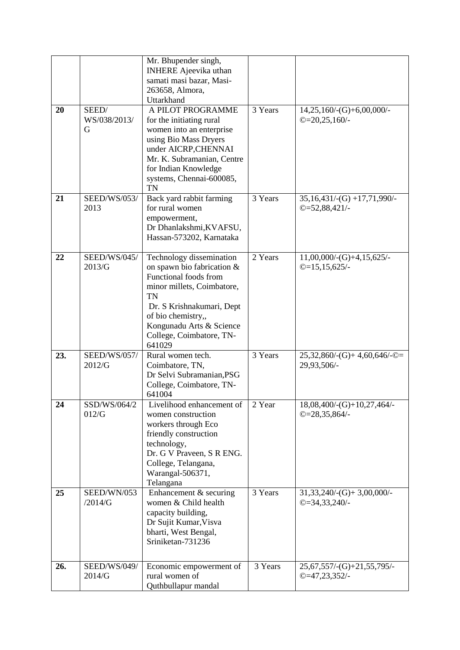| 20  | SEED/                         | Mr. Bhupender singh,<br><b>INHERE</b> Ajeevika uthan<br>samati masi bazar, Masi-<br>263658, Almora,<br>Uttarkhand<br>A PILOT PROGRAMME                                                                                                          | 3 Years | $14,25,160$ /-(G)+6,00,000/-                      |
|-----|-------------------------------|-------------------------------------------------------------------------------------------------------------------------------------------------------------------------------------------------------------------------------------------------|---------|---------------------------------------------------|
|     | WS/038/2013/<br>G             | for the initiating rural<br>women into an enterprise<br>using Bio Mass Dryers<br>under AICRP, CHENNAI<br>Mr. K. Subramanian, Centre<br>for Indian Knowledge<br>systems, Chennai-600085,<br><b>TN</b>                                            |         | $@=20,25,160/$ -                                  |
| 21  | <b>SEED/WS/053/</b><br>2013   | Back yard rabbit farming<br>for rural women<br>empowerment,<br>Dr Dhanlakshmi, KVAFSU,<br>Hassan-573202, Karnataka                                                                                                                              | 3 Years | $35,16,431/$ -(G) +17,71,990/-<br>$@=52,88,421/$  |
| 22  | SEED/WS/045/<br>2013/G        | Technology dissemination<br>on spawn bio fabrication &<br>Functional foods from<br>minor millets, Coimbatore,<br><b>TN</b><br>Dr. S Krishnakumari, Dept<br>of bio chemistry,,<br>Kongunadu Arts & Science<br>College, Coimbatore, TN-<br>641029 | 2 Years | $11,00,000$ /-(G)+4,15,625/-<br>$@=15,15,625/$ -  |
| 23. | <b>SEED/WS/057/</b><br>2012/G | Rural women tech.<br>Coimbatore, TN,<br>Dr Selvi Subramanian, PSG<br>College, Coimbatore, TN-<br>641004                                                                                                                                         | 3 Years | $25,32,860$ /-(G)+4,60,646/- $@=$<br>29,93,506/-  |
| 24  | SSD/WS/064/2<br>012/G         | Livelihood enhancement of<br>women construction<br>workers through Eco<br>friendly construction<br>technology,<br>Dr. G V Praveen, S R ENG.<br>College, Telangana,<br>Warangal-506371,<br>Telangana                                             | 2 Year  | 18,08,400/-(G)+10,27,464/-<br>$@=28,35,864/$ -    |
| 25  | SEED/WN/053<br>/2014/G        | Enhancement & securing<br>women & Child health<br>capacity building,<br>Dr Sujit Kumar, Visva<br>bharti, West Bengal,<br>Sriniketan-731236                                                                                                      | 3 Years | $31,33,240/$ -(G)+ 3,00,000/-<br>$@=34,33,240/$ - |
| 26. | <b>SEED/WS/049/</b><br>2014/G | Economic empowerment of<br>rural women of<br>Quthbullapur mandal                                                                                                                                                                                | 3 Years | $25,67,557/-(G)+21,55,795/$<br>$@=47,23,352/$ -   |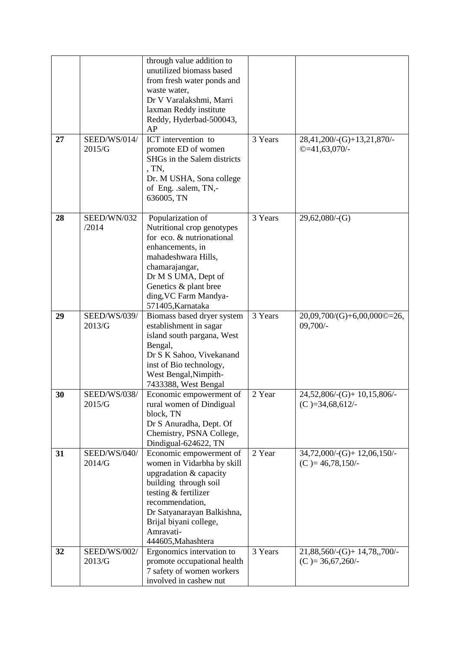|    |                               | through value addition to<br>unutilized biomass based<br>from fresh water ponds and<br>waste water,<br>Dr V Varalakshmi, Marri<br>laxman Reddy institute<br>Reddy, Hyderbad-500043,<br>AP                                                      |         |                                                         |
|----|-------------------------------|------------------------------------------------------------------------------------------------------------------------------------------------------------------------------------------------------------------------------------------------|---------|---------------------------------------------------------|
| 27 | SEED/WS/014/<br>2015/G        | ICT intervention to<br>promote ED of women<br>SHGs in the Salem districts<br>, TN,<br>Dr. M USHA, Sona college<br>of Eng. .salem, TN,-<br>636005, TN                                                                                           | 3 Years | 28,41,200/-(G)+13,21,870/-<br>$@=41,63,070/$ -          |
| 28 | SEED/WN/032<br>/2014          | Popularization of<br>Nutritional crop genotypes<br>for eco. & nutrionational<br>enhancements, in<br>mahadeshwara Hills,<br>chamarajangar,<br>Dr M S UMA, Dept of<br>Genetics & plant bree<br>ding, VC Farm Mandya-<br>571405, Karnataka        | 3 Years | $29,62,080$ /-(G)                                       |
| 29 | <b>SEED/WS/039/</b><br>2013/G | Biomass based dryer system<br>establishment in sagar<br>island south pargana, West<br>Bengal,<br>Dr S K Sahoo, Vivekanand<br>inst of Bio technology,<br>West Bengal, Nimpith-<br>7433388, West Bengal                                          | 3 Years | 20,09,700/(G)+6,00,000©=26,<br>$09,700/-$               |
| 30 | <b>SEED/WS/038/</b><br>2015/G | Economic empowerment of<br>rural women of Dindigual<br>block, TN<br>Dr S Anuradha, Dept. Of<br>Chemistry, PSNA College,<br>Dindigual-624622, TN                                                                                                | 2 Year  | $24,52,806$ /-(G)+ 10,15,806/-<br>$(C) = 34,68,612/$    |
| 31 | SEED/WS/040/<br>2014/G        | Economic empowerment of<br>women in Vidarbha by skill<br>upgradation & capacity<br>building through soil<br>testing & fertilizer<br>recommendation,<br>Dr Satyanarayan Balkishna,<br>Brijal biyani college,<br>Amravati-<br>444605, Mahashtera | 2 Year  | $34,72,000$ /-(G)+ 12,06,150/-<br>$(C) = 46,78,150/$    |
| 32 | <b>SEED/WS/002/</b><br>2013/G | Ergonomics intervation to<br>promote occupational health<br>7 safety of women workers<br>involved in cashew nut                                                                                                                                | 3 Years | $21,88,560$ /-(G)+ $14,78,700$ /-<br>$(C) = 36,67,260/$ |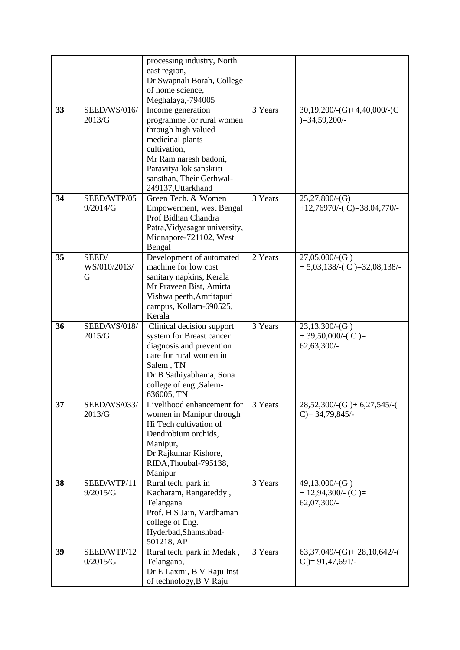|    |                     | processing industry, North<br>east region,         |         |                                 |
|----|---------------------|----------------------------------------------------|---------|---------------------------------|
|    |                     | Dr Swapnali Borah, College                         |         |                                 |
|    |                     | of home science,                                   |         |                                 |
|    |                     | Meghalaya,-794005                                  |         |                                 |
| 33 | SEED/WS/016/        | Income generation                                  | 3 Years | $30,19,200$ /-(G)+4,40,000/-(C  |
|    | 2013/G              | programme for rural women                          |         | $)=34,59,200/$ -                |
|    |                     | through high valued                                |         |                                 |
|    |                     | medicinal plants                                   |         |                                 |
|    |                     | cultivation,                                       |         |                                 |
|    |                     | Mr Ram naresh badoni,                              |         |                                 |
|    |                     | Paravitya lok sanskriti                            |         |                                 |
|    |                     | sansthan, Their Gerhwal-                           |         |                                 |
|    |                     | 249137, Uttarkhand                                 |         |                                 |
| 34 | SEED/WTP/05         | Green Tech. & Women                                | 3 Years | 25,27,800/(G)                   |
|    | 9/2014/G            | Empowerment, west Bengal                           |         | $+12,76970$ /-(C)=38,04,770/-   |
|    |                     | Prof Bidhan Chandra                                |         |                                 |
|    |                     | Patra, Vidyasagar university,                      |         |                                 |
|    |                     | Midnapore-721102, West                             |         |                                 |
|    |                     | Bengal                                             |         |                                 |
| 35 | SEED/               | Development of automated                           | 2 Years | 27,05,000/(G)                   |
|    | WS/010/2013/        | machine for low cost                               |         | $+5,03,138$ /-(C)=32,08,138/-   |
|    | G                   | sanitary napkins, Kerala                           |         |                                 |
|    |                     | Mr Praveen Bist, Amirta                            |         |                                 |
|    |                     | Vishwa peeth, Amritapuri<br>campus, Kollam-690525, |         |                                 |
|    |                     | Kerala                                             |         |                                 |
| 36 | <b>SEED/WS/018/</b> | Clinical decision support                          | 3 Years | 23,13,300/(G)                   |
|    | 2015/G              | system for Breast cancer                           |         | $+39,50,000/$ -(C)=             |
|    |                     | diagnosis and prevention                           |         | 62,63,300/-                     |
|    |                     | care for rural women in                            |         |                                 |
|    |                     | Salem, TN                                          |         |                                 |
|    |                     | Dr B Sathiyabhama, Sona                            |         |                                 |
|    |                     | college of eng., Salem-                            |         |                                 |
|    |                     | 636005, TN                                         |         |                                 |
| 37 | SEED/WS/033/        | Livelihood enhancement for                         | 3 Years | $28,52,300$ /-(G) + 6,27,545/-( |
|    | 2013/G              | women in Manipur through                           |         | $C$ ) = 34,79,845/-             |
|    |                     | Hi Tech cultivation of                             |         |                                 |
|    |                     | Dendrobium orchids,                                |         |                                 |
|    |                     | Manipur,                                           |         |                                 |
|    |                     | Dr Rajkumar Kishore,                               |         |                                 |
|    |                     | RIDA, Thoubal-795138,<br>Manipur                   |         |                                 |
| 38 | SEED/WTP/11         | Rural tech. park in                                | 3 Years | 49,13,000/(G)                   |
|    | 9/2015/G            | Kacharam, Rangareddy,                              |         | $+ 12,94,300/$ - (C)=           |
|    |                     | Telangana                                          |         | $62,07,300/-$                   |
|    |                     | Prof. H S Jain, Vardhaman                          |         |                                 |
|    |                     | college of Eng.                                    |         |                                 |
|    |                     | Hyderbad, Shamshbad-                               |         |                                 |
|    |                     | 501218, AP                                         |         |                                 |
| 39 | SEED/WTP/12         | Rural tech. park in Medak,                         | 3 Years | $63,37,049$ /-(G)+ 28,10,642/-( |
|    | 0/2015/G            | Telangana,                                         |         | $C$ ) = 91,47,691/-             |
|    |                     | Dr E Laxmi, B V Raju Inst                          |         |                                 |
|    |                     | of technology, B V Raju                            |         |                                 |